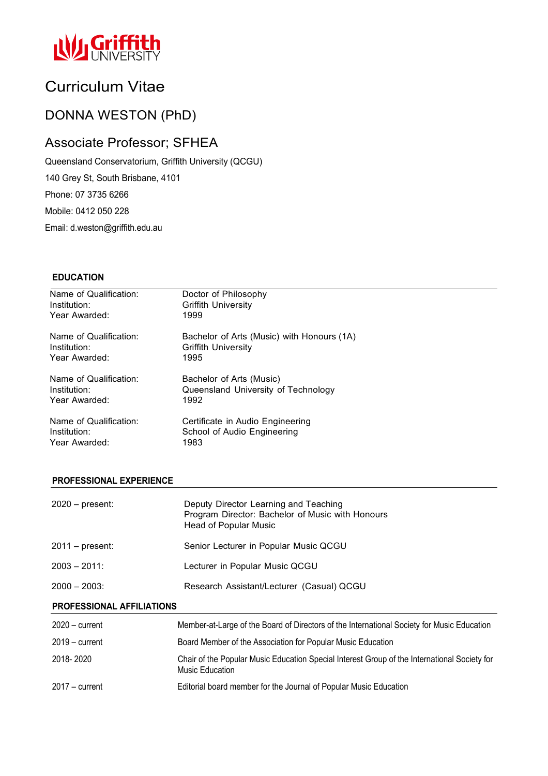

# Curriculum Vitae

## DONNA WESTON (PhD)

## Associate Professor; SFHEA

Queensland Conservatorium, Griffith University (QCGU)

140 Grey St, South Brisbane, 4101

Phone: 07 3735 6266

Mobile: 0412 050 228

Email: d.weston@griffith.edu.au

## **EDUCATION**

| Name of Qualification: | Doctor of Philosophy                       |
|------------------------|--------------------------------------------|
| Institution:           | <b>Griffith University</b>                 |
| Year Awarded:          | 1999                                       |
| Name of Qualification: | Bachelor of Arts (Music) with Honours (1A) |
| Institution:           | <b>Griffith University</b>                 |
| Year Awarded:          | 1995                                       |
| Name of Qualification: | Bachelor of Arts (Music)                   |
| Institution:           | Queensland University of Technology        |
| Year Awarded:          | 1992                                       |
| Name of Qualification: | Certificate in Audio Engineering           |
| Institution:           | School of Audio Engineering                |
| Year Awarded:          | 1983                                       |

### **PROFESSIONAL EXPERIENCE**

| 2020 – present: | Deputy Director Learning and Teaching<br>Program Director: Bachelor of Music with Honours<br>Head of Popular Music |
|-----------------|--------------------------------------------------------------------------------------------------------------------|
| 2011 – present: | Senior Lecturer in Popular Music QCGU                                                                              |
| 2003 – 2011:    | Lecturer in Popular Music QCGU                                                                                     |
| 2000 – 2003:    | Research Assistant/Lecturer (Casual) QCGU                                                                          |
|                 |                                                                                                                    |

### **PROFESSIONAL AFFILIATIONS**

| $2020 - current$ | Member-at-Large of the Board of Directors of the International Society for Music Education                             |
|------------------|------------------------------------------------------------------------------------------------------------------------|
| $2019 - current$ | Board Member of the Association for Popular Music Education                                                            |
| 2018-2020        | Chair of the Popular Music Education Special Interest Group of the International Society for<br><b>Music Education</b> |
| $2017 -$ current | Editorial board member for the Journal of Popular Music Education                                                      |